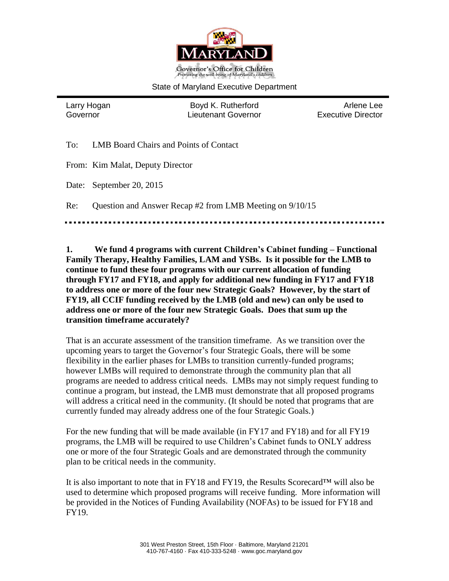

#### State of Maryland Executive Department

Larry Hogan **Boyd K. Rutherford** Arlene Lee Governor Lieutenant Governor Executive Director

To: LMB Board Chairs and Points of Contact

From: Kim Malat, Deputy Director

Date: September 20, 2015

Re: Question and Answer Recap #2 from LMB Meeting on 9/10/15

**1. We fund 4 programs with current Children's Cabinet funding – Functional Family Therapy, Healthy Families, LAM and YSBs. Is it possible for the LMB to continue to fund these four programs with our current allocation of funding through FY17 and FY18, and apply for additional new funding in FY17 and FY18 to address one or more of the four new Strategic Goals? However, by the start of FY19, all CCIF funding received by the LMB (old and new) can only be used to address one or more of the four new Strategic Goals. Does that sum up the transition timeframe accurately?**

That is an accurate assessment of the transition timeframe. As we transition over the upcoming years to target the Governor's four Strategic Goals, there will be some flexibility in the earlier phases for LMBs to transition currently-funded programs; however LMBs will required to demonstrate through the community plan that all programs are needed to address critical needs. LMBs may not simply request funding to continue a program, but instead, the LMB must demonstrate that all proposed programs will address a critical need in the community. (It should be noted that programs that are currently funded may already address one of the four Strategic Goals.)

For the new funding that will be made available (in FY17 and FY18) and for all FY19 programs, the LMB will be required to use Children's Cabinet funds to ONLY address one or more of the four Strategic Goals and are demonstrated through the community plan to be critical needs in the community.

It is also important to note that in FY18 and FY19, the Results Scorecard™ will also be used to determine which proposed programs will receive funding. More information will be provided in the Notices of Funding Availability (NOFAs) to be issued for FY18 and FY19.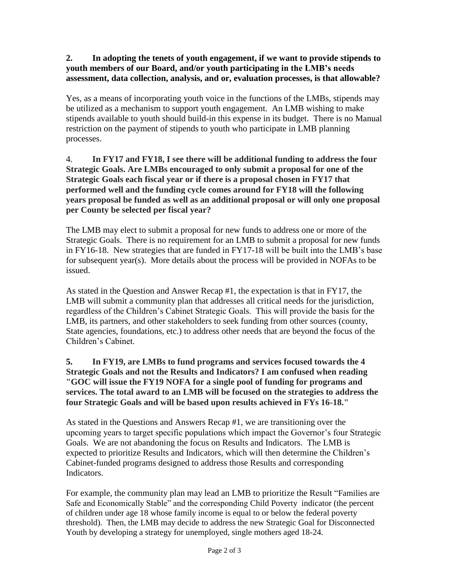# **2. In adopting the tenets of youth engagement, if we want to provide stipends to youth members of our Board, and/or youth participating in the LMB's needs assessment, data collection, analysis, and or, evaluation processes, is that allowable?**

Yes, as a means of incorporating youth voice in the functions of the LMBs, stipends may be utilized as a mechanism to support youth engagement. An LMB wishing to make stipends available to youth should build-in this expense in its budget. There is no Manual restriction on the payment of stipends to youth who participate in LMB planning processes.

### 4. **In FY17 and FY18, I see there will be additional funding to address the four Strategic Goals. Are LMBs encouraged to only submit a proposal for one of the Strategic Goals each fiscal year or if there is a proposal chosen in FY17 that performed well and the funding cycle comes around for FY18 will the following years proposal be funded as well as an additional proposal or will only one proposal per County be selected per fiscal year?**

The LMB may elect to submit a proposal for new funds to address one or more of the Strategic Goals. There is no requirement for an LMB to submit a proposal for new funds in FY16-18. New strategies that are funded in FY17-18 will be built into the LMB's base for subsequent year(s). More details about the process will be provided in NOFAs to be issued.

As stated in the Question and Answer Recap #1, the expectation is that in FY17, the LMB will submit a community plan that addresses all critical needs for the jurisdiction, regardless of the Children's Cabinet Strategic Goals. This will provide the basis for the LMB, its partners, and other stakeholders to seek funding from other sources (county, State agencies, foundations, etc.) to address other needs that are beyond the focus of the Children's Cabinet.

# **5. In FY19, are LMBs to fund programs and services focused towards the 4 Strategic Goals and not the Results and Indicators? I am confused when reading "GOC will issue the FY19 NOFA for a single pool of funding for programs and services. The total award to an LMB will be focused on the strategies to address the four Strategic Goals and will be based upon results achieved in FYs 16-18."**

As stated in the Questions and Answers Recap #1, we are transitioning over the upcoming years to target specific populations which impact the Governor's four Strategic Goals. We are not abandoning the focus on Results and Indicators. The LMB is expected to prioritize Results and Indicators, which will then determine the Children's Cabinet-funded programs designed to address those Results and corresponding Indicators.

For example, the community plan may lead an LMB to prioritize the Result "Families are Safe and Economically Stable" and the corresponding Child Poverty indicator (the percent of children under age 18 whose family income is equal to or below the federal poverty threshold). Then, the LMB may decide to address the new Strategic Goal for Disconnected Youth by developing a strategy for unemployed, single mothers aged 18-24.